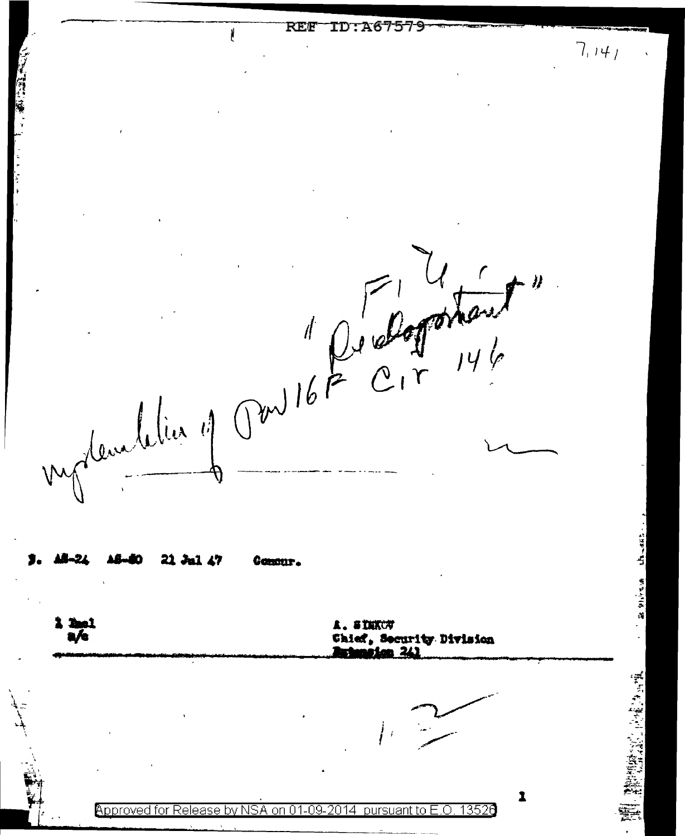TD: 267579  $RFR$ Ń.  $7,141$ My development of Containt" 21 Jul 47 Affinin Comant. **2 Paul** 上,名竹赋《为 a /e Chief, Socurity Division 1 Approved for Release by NSA on 01-09-2014 pursuant to E.O. 13526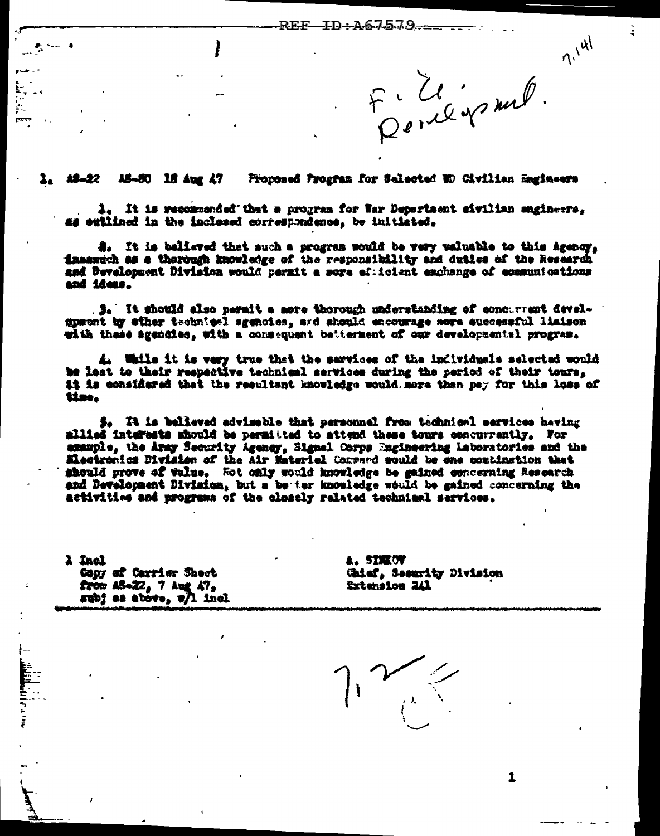F. U. y mel.

Ğ

 $7^{141}$ 

1, 19-22 AS-50 18 Aug 47 Proposed Progres for Selected ED Civilian Magineers

1. It is recommended that a program for War Department eivilian engineers. as eutlined in the inclesed correspondence, be initiated.

A. It is beliaved that such a program would be very valuable to this Agency. insantch as a thorough knowledge of the responsibility and duties of the Research and Development Division would permit a sore eficient exchange of communications and ideas.

**3.** It should also permit a more thorough understanding of concurrent develgpæent by ether technicel sgenoies, and should encourage more successful liaison with these agencies, with a consequent betterment of our developmental program.

4. While it is very true that the services of the individuals selected would be lost to their respective technical services during the period of their tours. it is considered that the resultant knowledge would more than pay for this loss of time.

5. It is believed advisable that personnel from technionl services having milied interests should be permitted to attend these tours concurrently. For amample, the Aray Security Agency, Signal Corps Ingineering Laboratories and the Mactronics Division of the Air Material Carpard would be one combination that should prove of value. Fot only would knowledge be gained concerning Research and Development Division, but a be ter knowledge would be gained concerning the activities and programs of the clossly ralated technical services.

1 Inal Capy of Carrier Sheet from  $AB = 22$ , 7 Aug  $A7$ , subj as above, w/l incl **A. STREOT** Chief, Security Division **Extension 241** 

1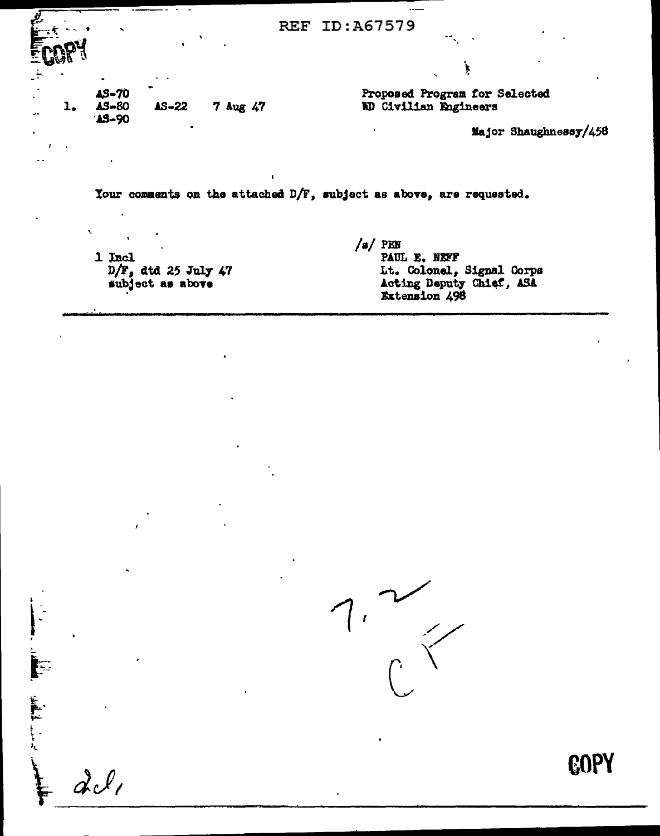| È. | $\mathbf{r}$ |                                           |           |          | REF | ID:A67579                                                           |
|----|--------------|-------------------------------------------|-----------|----------|-----|---------------------------------------------------------------------|
|    |              |                                           |           |          |     |                                                                     |
|    | ı.           | <b>AS-70</b><br><b>AS-80</b><br>$13 - 90$ | $45 - 22$ | 7 Aug 47 |     | Proposed Program for Selected<br>WD Civilian Engineers              |
|    |              |                                           |           |          |     | Major Shaughnessy/458                                               |
|    |              |                                           |           |          |     |                                                                     |
|    |              |                                           |           |          |     | Your comments on the attached D/F, subject as above, are requested. |

1 Incl  $D/F$ , dtd 25 July 47<br>subject as above

أن المسلم المساحد المستقار المستقار المستقار المستقار المستقار المستقار المستقار المستقار المستقار المستقار ال<br>المستقار المستقار المستقار المستقار المستقار المستقار المستقار المستقار المستقار المستقار المستقار المستقار ال

 $dcl$ 

 $/a$  PEN<br>PAUL E. NEFF Lt. Colonel, Signal Corps<br>Acting Deputy Chief, ASA<br>Extension 498



**GOPY**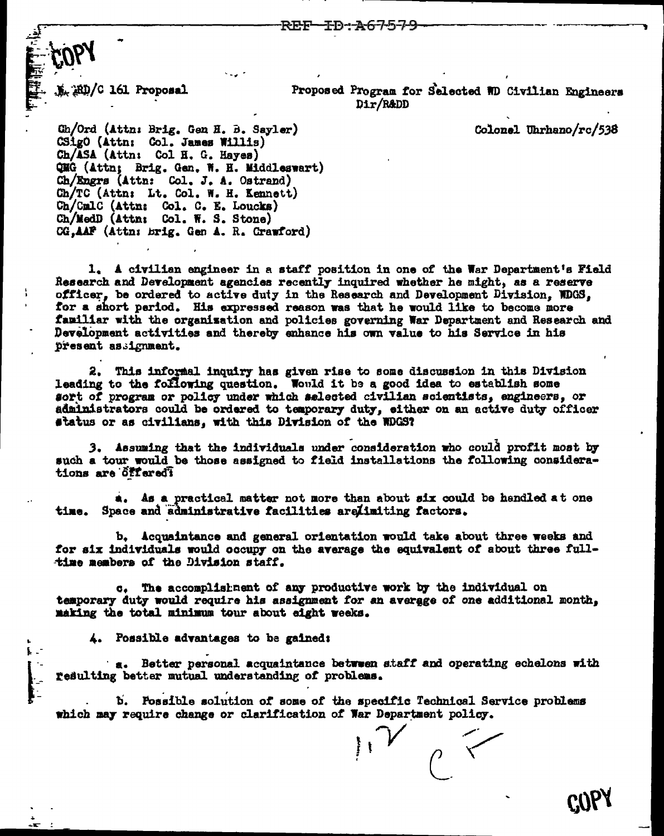RD/C 161 Proposal

Proposed Program for Selected WD Civilian Engineers Dir/R&DD

Colonel Uhrhano/rc/538

Ch/Ord (Attn: Brig. Gen H. B. Sayler) CSigO (Attn: Col. James Willis) Ch/ASA (Attn: Col H. G. Hayes) QMG (Attn; Brig. Gen. W. H. Middleswart) Ch/Engrs (Attn: Col. J. A. Ostrand) Ch/TC (Attn: Lt. Col. W. H. Kennett) Ch/CmlC (Attn: Col. C. E. Loucks)<br>Ch/MedD (Attn: Col. W. S. Stone) CG, AAF (Attn: brig. Gen A. R. Crawford)

1. A civilian engineer in a staff position in one of the War Department's Field Research and Development agencies recently inquired whether he might, as a reserve officer, be ordered to active duty in the Research and Development Division. WDGS. for a short period. His expressed reason was that he would like to become more familiar with the organization and policies governing War Department and Research and Development activities and thereby enhance his own value to his Service in his present assignment.

2. This informal inquiry has given rise to some discussion in this Division leading to the following question. Would it be a good idea to establish some sort of program or policy under which selected civilian scientists, engineers, or administrators could be ordered to temporary duty, either on an active duty officer status or as civilians, with this Division of the WDGS?

3. Assuming that the individuals under consideration who could profit most by such a tour would be those assigned to field installations the following considerations are offered?

a. As a practical matter not more than about six could be handled at one time. Space and administrative facilities arelimiting factors.

b. Acquaintance and general orientation would take about three weeks and for six individuals would occupy on the average the equivalent of about three fulltime members of the Division staff.

c. The accomplishment of any productive work by the individual on temporary duty would require his assignment for an average of one additional month, making the total minimum tour about eight weeks.

4. Possible advantages to be gained:

a. Better personal acquaintance between staff and operating echelons with resulting better mutual understanding of problems.

b. Possible solution of some of the specific Technical Service problems which may require change or clarification of War Department policy.